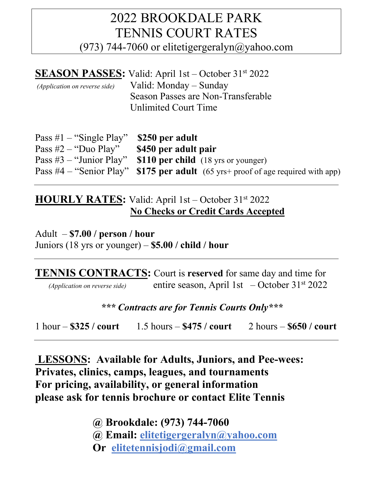## 2022 BROOKDALE PARK TENNIS COURT RATES (973) 744-7060 or elitetigergeralyn $\omega$ yahoo.com

|                                      | <b>SEASON PASSES:</b> Valid: April 1st – October 31 <sup>st</sup> 2022 |
|--------------------------------------|------------------------------------------------------------------------|
| <i>(Application on reverse side)</i> | Valid: Monday – Sunday                                                 |
|                                      | Season Passes are Non-Transferable                                     |
|                                      | Unlimited Court Time                                                   |

| Pass $\#1$ – "Single Play" \$250 per adult |                                                                                         |
|--------------------------------------------|-----------------------------------------------------------------------------------------|
| Pass $#2$ – "Duo Play"                     | \$450 per adult pair                                                                    |
|                                            | Pass #3 – "Junior Play" \$110 per child $(18 \text{ yrs or younger})$                   |
|                                            | Pass #4 – "Senior Play" <b>\$175 per adult</b> (65 yrs+ proof of age required with app) |

## **HOURLY RATES:** Valid: April 1st – October 31st 2022 **No Checks or Credit Cards Accepted**

Adult – **\$7.00 / person / hour** Juniors (18 yrs or younger) – **\$5.00 / child / hour**

**TENNIS CONTRACTS:** Court is **reserved** for same day and time for  *(Application on reverse side)* entire season, April 1st – October 31st 2022

*\*\*\* Contracts are for Tennis Courts Only\*\*\**

1 hour – **\$325 / court** 1.5 hours – **\$475 / court** 2 hours – **\$650 / court**

**LESSONS: Available for Adults, Juniors, and Pee-wees: Privates, clinics, camps, leagues, and tournaments For pricing, availability, or general information please ask for tennis brochure or contact Elite Tennis** 

 **@ Brookdale: (973) 744-7060** 

 **@ Email: elitetigergeralyn@yahoo.com**

 **Or elitetennisjodi@gmail.com**